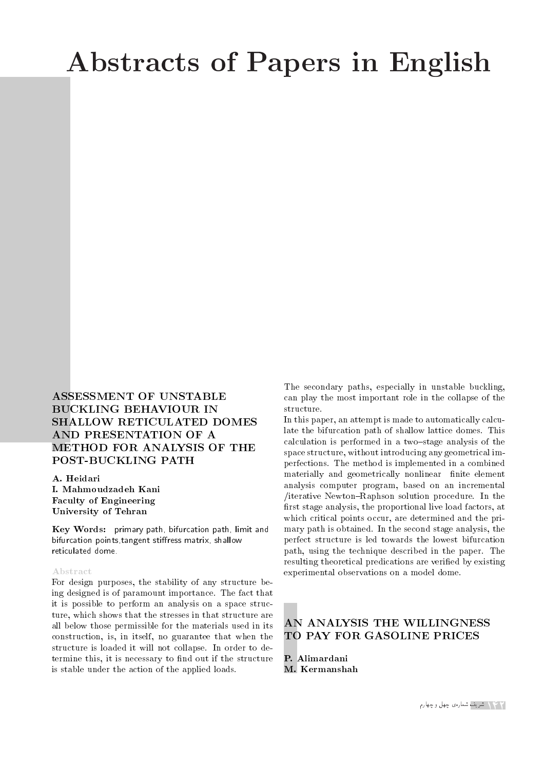# Abstracts of Papers in English

# ASSESSMENT OF UNSTABLE BUCKLING BEHAVIOUR IN SHALLOW RETICULATED DOMES AND PRESENTATION OF A METHOD FOR ANALYSIS OF THE POST-BUCKLING PATH

A. Heidari I. Mahmoudzadeh Kani Faculty of Engineering University of Tehran

Key Words: primary path, bifurcation path, limit and bifurcation points, tangent stiffress matrix, shallow reticulated dome.

#### Abstract

For design purposes, the stability of any structure being designed is of paramount importance. The fact that it is possible to perform an analysis on a space structure, which shows that the stresses in that structure are all below those permissible for the materials used in its construction, is, in itself, no guarantee that when the structure is loaded it will not collapse. In order to determine this, it is necessary to find out if the structure is stable under the action of the applied loads.

The secondary paths, especially in unstable buckling, can play the most important role in the collapse of the structure.

In this paper, an attempt is made to automatically calculate the bifurcation path of shallow lattice domes. This calculation is performed in a two-stage analysis of the space structure, without introducing any geometrical imperfections. The method is implemented in a combined materially and geometrically nonlinear finite element analysis computer program, based on an incremental /iterative Newton{Raphson solution procedure. In the first stage analysis, the proportional live load factors, at which critical points occur, are determined and the primary path is obtained. In the second stage analysis, the perfect structure is led towards the lowest bifurcation path, using the technique described in the paper. The resulting theoretical predications are veried by existing experimental observations on a model dome.

# AN ANALYSIS THE WILLINGNESS TO PAY FOR GASOLINE PRICES

P. Alimardani M. Kermanshah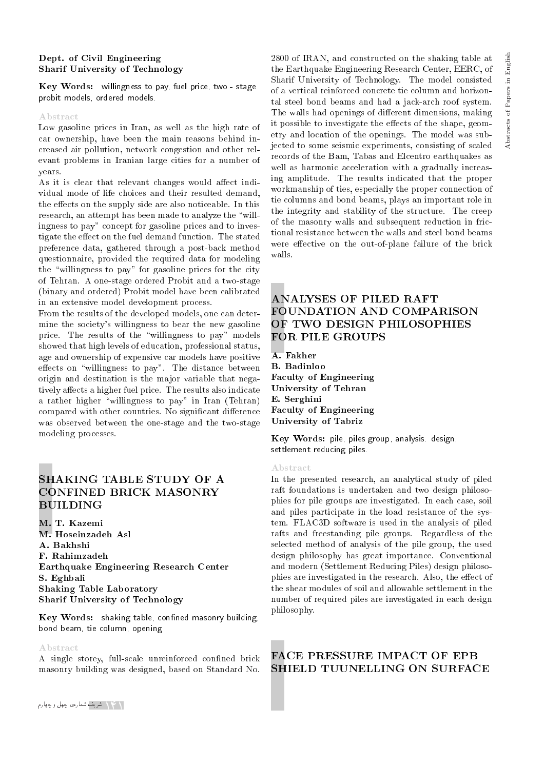#### Dept. of Civil Engineering Sharif University of Technology

Key Words: willingness to pay, fuel price, two - stage probit models, ordered models.

#### Abstract

Low gasoline prices in Iran, as well as the high rate of car ownership, have been the main reasons behind increased air pollution, network congestion and other relevant problems in Iranian large cities for a number of years.

As it is clear that relevant changes would affect individual mode of life choices and their resulted demand, the effects on the supply side are also noticeable. In this research, an attempt has been made to analyze the \willingness to pay" concept for gasoline prices and to investigate the effect on the fuel demand function. The stated preference data, gathered through a post-back method questionnaire, provided the required data for modeling the \willingness to pay" for gasoline prices for the city of Tehran. A one-stage ordered Probit and a two-stage (binary and ordered) Probit model have been calibrated in an extensive model development process.

From the results of the developed models, one can determine the society's willingness to bear the new gasoline price. The results of the \willingness to pay" models showed that high levels of education, professional status, age and ownership of expensive car models have positive effects on "willingness to pay". The distance between origin and destination is the major variable that negatively affects a higher fuel price. The results also indicate a rather higher \willingness to pay" in Iran (Tehran) compared with other countries. No significant difference was observed between the one-stage and the two-stage modeling processes.

# SHAKING TABLE STUDY OF A CONFINED BRICK MASONRY BUILDING

M. T. Kazemi M. Hoseinzadeh Asl A. Bakhshi F. Rahimzadeh Earthquake Engineering Research Center S. Eghbali Shaking Table Laboratory Sharif University of Technology

Key Words: shaking table, confined masonry building, bond beam, tie column, opening

#### Abstract

A single storey, full-scale unreinforced confined brick masonry building was designed, based on Standard No. English Abstracts of Papers in English Abstracts of Papers in

2800 of IRAN, and constructed on the shaking table at the Earthquake Engineering Research Center, EERC, of Sharif University of Technology. The model consisted of a vertical reinforced concrete tie column and horizontal steel bond beams and had a jack-arch roof system. The walls had openings of different dimensions, making it possible to investigate the effects of the shape, geometry and location of the openings. The model was subjected to some seismic experiments, consisting of scaled records of the Bam, Tabas and Elcentro earthquakes as well as harmonic acceleration with a gradually increasing amplitude. The results indicated that the proper workmanship of ties, especially the proper connection of tie columns and bond beams, plays an important role in the integrity and stability of the structure. The creep of the masonry walls and subsequent reduction in frictional resistance between the walls and steel bond beams were effective on the out-of-plane failure of the brick walls.

# ANALYSES OF PILED RAFT FOUNDATION AND COMPARISON OF TWO DESIGN PHILOSOPHIES FOR PILE GROUPS

A. Fakher B. Badinloo Faculty of Engineering University of Tehran E. Serghini Faculty of Engineering University of Tabriz

Key Words: pile, piles group, analysis. design, settlement reducing piles.

#### Abstract

In the presented research, an analytical study of piled raft foundations is undertaken and two design philosophies for pile groups are investigated. In each case, soil and piles participate in the load resistance of the system. FLAC3D software is used in the analysis of piled rafts and freestanding pile groups. Regardless of the selected method of analysis of the pile group, the used design philosophy has great importance. Conventional and modern (Settlement Reducing Piles) design philosophies are investigated in the research. Also, the effect of the shear modules of soil and allowable settlement in the number of required piles are investigated in each design philosophy.

# FACE PRESSURE IMPACT OF EPB SHIELD TUUNELLING ON SURFACE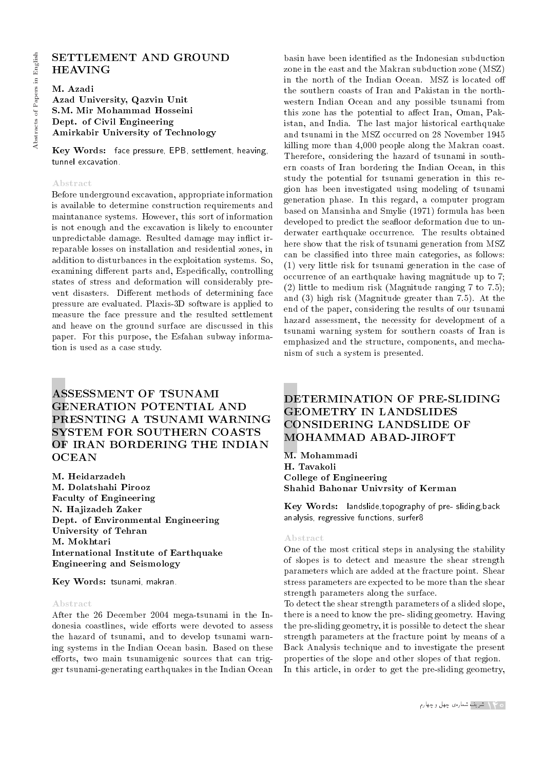# Abstracts of Papers in English Abstracts of Papers in English

# SETTLEMENT AND GROUND HEAVING

M. Azadi Azad University, Qazvin Unit S.M. Mir Mohammad Hosseini Dept. of Civil Engineering Amirkabir University of Technology

Key Words: face pressure, EPB, settlement, heaving, tunnel excavation.

#### Abstract

Before underground excavation, appropriate information is available to determine construction requirements and maintanance systems. However, this sort of information is not enough and the excavation is likely to encounter unpredictable damage. Resulted damage may in
ict irreparable losses on installation and residential zones, in addition to disturbances in the exploitation systems. So, examining different parts and, Especifically, controlling states of stress and deformation will considerably prevent disasters. Different methods of determining face pressure are evaluated. Plaxis-3D software is applied to measure the face pressure and the resulted settlement and heave on the ground surface are discussed in this paper. For this purpose, the Esfahan subway information is used as a case study.

# ASSESSMENT OF TSUNAMI GENERATION POTENTIAL AND PRESNTING A TSUNAMI WARNING SYSTEM FOR SOUTHERN COASTS OF IRAN BORDERING THE INDIAN **OCEAN**

M. Heidarzadeh M. Dolatshahi Pirooz Faculty of Engineering N. Hajizadeh Zaker Dept. of Environmental Engineering University of Tehran M. Mokhtari International Institute of Earthquake Engineering and Seismology

Key Words: tsunami, makran.

#### Abstract

After the 26 December 2004 mega-tsunami in the Indonesia coastlines, wide efforts were devoted to assess the hazard of tsunami, and to develop tsunami warning systems in the Indian Ocean basin. Based on these efforts, two main tsunamigenic sources that can trigger tsunami-generating earthquakes in the Indian Ocean

basin have been identied as the Indonesian subduction zone in the east and the Makran subduction zone (MSZ) in the north of the Indian Ocean. MSZ is located o the southern coasts of Iran and Pakistan in the northwestern Indian Ocean and any possible tsunami from this zone has the potential to affect Iran, Oman, Pakistan, and India. The last major historical earthquake and tsunami in the MSZ occurred on 28 November 1945 killing more than 4,000 people along the Makran coast. Therefore, considering the hazard of tsunami in southern coasts of Iran bordering the Indian Ocean, in this study the potential for tsunami generation in this region has been investigated using modeling of tsunami generation phase. In this regard, a computer program based on Mansinha and Smylie (1971) formula has been developed to predict the seafloor deformation due to underwater earthquake occurrence. The results obtained here show that the risk of tsunami generation from MSZ can be classied into three main categories, as follows: (1) very little risk for tsunami generation in the case of occurrence of an earthquake having magnitude up to 7; (2) little to medium risk (Magnitude ranging 7 to 7.5); and (3) high risk (Magnitude greater than 7.5). At the end of the paper, considering the results of our tsunami hazard assessment, the necessity for development of a tsunami warning system for southern coasts of Iran is emphasized and the structure, components, and mechanism of such a system is presented.

# DETERMINATION OF PRE-SLIDING GEOMETRY IN LANDSLIDES CONSIDERING LANDSLIDE OF MOHAMMAD ABAD-JIROFT

M. Mohammadi H. Tavakoli College of Engineering Shahid Bahonar Univrsity of Kerman

Key Words: landslide,topography of pre- sliding,back analysis, regressive functions, surfer8

#### Abstract

One of the most critical steps in analysing the stability of slopes is to detect and measure the shear strength parameters which are added at the fracture point. Shear stress parameters are expected to be more than the shear strength parameters along the surface.

To detect the shear strength parameters of a slided slope, there is a need to know the pre- sliding geometry. Having the pre-sliding geometry, it is possible to detect the shear strength parameters at the fracture point by means of a Back Analysis technique and to investigate the present properties of the slope and other slopes of that region. In this article, in order to get the pre-sliding geometry,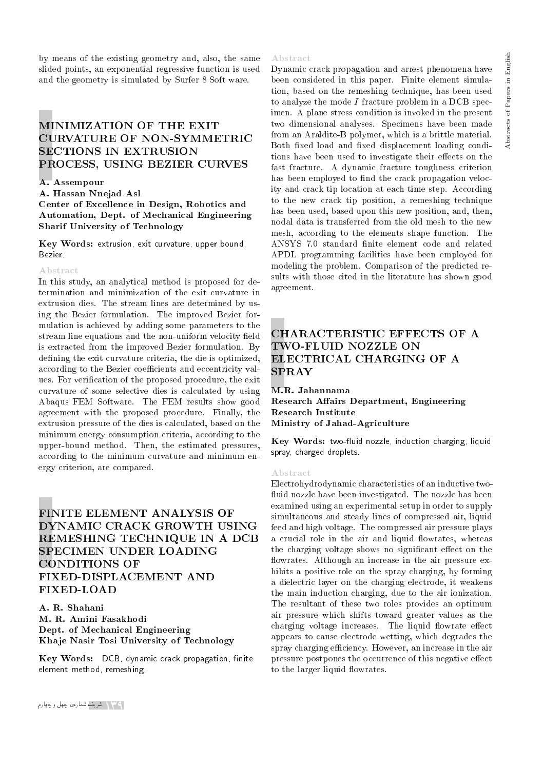by means of the existing geometry and, also, the same slided points, an exponential regressive function is used and the geometry is simulated by Surfer 8 Soft ware.

# MINIMIZATION OF THE EXIT CURVATURE OF NON-SYMMETRIC SECTIONS IN EXTRUSION PROCESS, USING BEZIER CURVES

#### A. Assempour

A. Hassan Nnejad Asl

Center of Excellence in Design, Robotics and Automation, Dept. of Mechanical Engineering Sharif University of Technology

Key Words: extrusion, exit curvature, upper bound, Bezier.

#### Abstract

In this study, an analytical method is proposed for determination and minimization of the exit curvature in extrusion dies. The stream lines are determined by using the Bezier formulation. The improved Bezier formulation is achieved by adding some parameters to the stream line equations and the non-uniform velocity field is extracted from the improved Bezier formulation. By defining the exit curvature criteria, the die is optimized, according to the Bezier coefficients and eccentricity values. For verication of the proposed procedure, the exit curvature of some selective dies is calculated by using Abaqus FEM Software. The FEM results show good agreement with the proposed procedure. Finally, the extrusion pressure of the dies is calculated, based on the minimum energy consumption criteria, according to the upper-bound method. Then, the estimated pressures, according to the minimum curvature and minimum energy criterion, are compared.

# FINITE ELEMENT ANALYSIS OF DYNAMIC CRACK GROWTH USING REMESHING TECHNIQUE IN A DCB SPECIMEN UNDER LOADING CONDITIONS OF FIXED-DISPLACEMENT AND FIXED-LOAD

A. R. Shahani M. R. Amini Fasakhodi Dept. of Mechanical Engineering Khaje Nasir Tosi University of Technology

Key Words: DCB, dynamic crack propagation, finite element method, remeshing.

#### Abstract

Dynamic crack propagation and arrest phenomena have been considered in this paper. Finite element simulation, based on the remeshing technique, has been used to analyze the mode  $I$  fracture problem in a DCB specimen. A plane stress condition is invoked in the present two dimensional analyses. Specimens have been made from an Araldite-B polymer, which is a brittle material. Both fixed load and fixed displacement loading conditions have been used to investigate their effects on the fast fracture. A dynamic fracture toughness criterion has been employed to find the crack propagation velocity and crack tip location at each time step. According to the new crack tip position, a remeshing technique has been used, based upon this new position, and, then, nodal data is transferred from the old mesh to the new mesh, according to the elements shape function. The ANSYS 7.0 standard finite element code and related APDL programming facilities have been employed for modeling the problem. Comparison of the predicted results with those cited in the literature has shown good agreement.

# CHARACTERISTIC EFFECTS OF A TWO-FLUID NOZZLE ON ELECTRICAL CHARGING OF A SPRAY

M.R. Jahannama Research Affairs Department, Engineering Research Institute Ministry of Jahad-Agriculture

Key Words: two-fluid nozzle, induction charging, liquid spray, charged droplets.

#### Abstract

Electrohydrodynamic characteristics of an inductive two fluid nozzle have been investigated. The nozzle has been examined using an experimental setup in order to supply simultaneous and steady lines of compressed air, liquid feed and high voltage. The compressed air pressure plays a crucial role in the air and liquid flowrates, whereas the charging voltage shows no significant effect on the flowrates. Although an increase in the air pressure exhibits a positive role on the spray charging, by forming a dielectric layer on the charging electrode, it weakens the main induction charging, due to the air ionization. The resultant of these two roles provides an optimum air pressure which shifts toward greater values as the charging voltage increases. The liquid flowrate effect appears to cause electrode wetting, which degrades the spray charging efficiency. However, an increase in the air pressure postpones the occurrence of this negative effect to the larger liquid flowrates.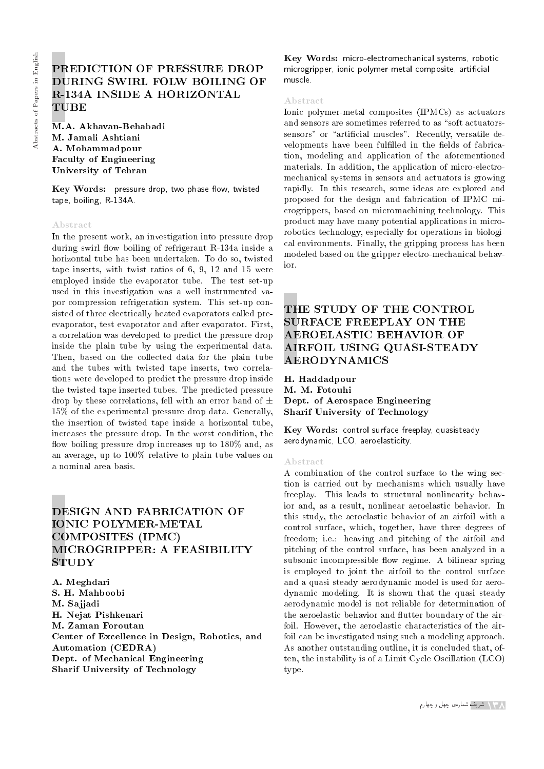# PREDICTION OF PRESSURE DROP DURING SWIRL FOLW BOILING OF R-134A INSIDE A HORIZONTAL TUBE

M.A. Akhavan-Behabadi M. Jamali Ashtiani A. Mohammadpour Faculty of Engineering University of Tehran

 $Key Words:$  pressure drop, two phase flow, twisted tape, boiling, R-134A.

#### Abstract

In the present work, an investigation into pressure drop during swirl flow boiling of refrigerant R-134a inside a horizontal tube has been undertaken. To do so, twisted tape inserts, with twist ratios of 6, 9, 12 and 15 were employed inside the evaporator tube. The test set-up used in this investigation was a well instrumented vapor compression refrigeration system. This set-up consisted of three electrically heated evaporators called preevaporator, test evaporator and after evaporator. First, a correlation was developed to predict the pressure drop inside the plain tube by using the experimental data. Then, based on the collected data for the plain tube and the tubes with twisted tape inserts, two correlations were developed to predict the pressure drop inside the twisted tape inserted tubes. The predicted pressure drop by these correlations, fell with an error band of  $\pm$ 15% of the experimental pressure drop data. Generally, the insertion of twisted tape inside a horizontal tube, increases the pressure drop. In the worst condition, the flow boiling pressure drop increases up to 180% and, as an average, up to 100% relative to plain tube values on a nominal area basis.

# DESIGN AND FABRICATION OF IONIC POLYMER-METAL COMPOSITES (IPMC) MICROGRIPPER: A FEASIBILITY **STUDY**

A. Meghdari S. H. Mahboobi M. Sajjadi H. Nejat Pishkenari M. Zaman Foroutan Center of Excellence in Design, Robotics, and Automation (CEDRA) Dept. of Mechanical Engineering Sharif University of Technology

Key Words: micro-electromechanical systems, robotic microgripper, ionic polymer-metal composite, articial muscle.

#### Abstract

Ionic polymer-metal composites (IPMCs) as actuators and sensors are sometimes referred to as "soft actuatorssensors" or "artificial muscles". Recently, versatile developments have been fulfilled in the fields of fabrication, modeling and application of the aforementioned materials. In addition, the application of micro-electromechanical systems in sensors and actuators is growing rapidly. In this research, some ideas are explored and proposed for the design and fabrication of IPMC microgrippers, based on micromachining technology. This product may have many potential applications in microrobotics technology, especially for operations in biological environments. Finally, the gripping process has been modeled based on the gripper electro-mechanical behavior.

# THE STUDY OF THE CONTROL SURFACE FREEPLAY ON THE AEROELASTIC BEHAVIOR OF AIRFOIL USING QUASI-STEADY AERODYNAMICS

H. Haddadpour M. M. Fotouhi Dept. of Aerospace Engineering Sharif University of Technology

Key Words: control surface freeplay, quasisteady aerodynamic, LCO, aeroelasticity.

#### Abstract

A combination of the control surface to the wing section is carried out by mechanisms which usually have freeplay. This leads to structural nonlinearity behavior and, as a result, nonlinear aeroelastic behavior. In this study, the aeroelastic behavior of an airfoil with a control surface, which, together, have three degrees of freedom; i.e.: heaving and pitching of the airfoil and pitching of the control surface, has been analyzed in a subsonic incompressible flow regime. A bilinear spring is employed to joint the airfoil to the control surface and a quasi steady aerodynamic model is used for aerodynamic modeling. It is shown that the quasi steady aerodynamic model is not reliable for determination of the aeroelastic behavior and flutter boundary of the airfoil. However, the aeroelastic characteristics of the airfoil can be investigated using such a modeling approach. As another outstanding outline, it is concluded that, often, the instability is of a Limit Cycle Oscillation (LCO) type.